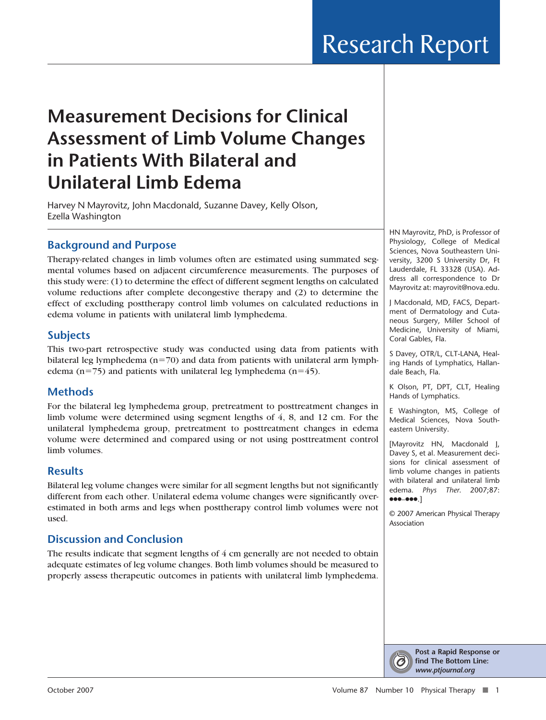# Research Report

# **Measurement Decisions for Clinical Assessment of Limb Volume Changes in Patients With Bilateral and Unilateral Limb Edema**

Harvey N Mayrovitz, John Macdonald, Suzanne Davey, Kelly Olson, Ezella Washington

# **Background and Purpose**

Therapy-related changes in limb volumes often are estimated using summated segmental volumes based on adjacent circumference measurements. The purposes of this study were: (1) to determine the effect of different segment lengths on calculated volume reductions after complete decongestive therapy and (2) to determine the effect of excluding posttherapy control limb volumes on calculated reductions in edema volume in patients with unilateral limb lymphedema.

# **Subjects**

This two-part retrospective study was conducted using data from patients with bilateral leg lymphedema ( $n=70$ ) and data from patients with unilateral arm lymphedema (n=75) and patients with unilateral leg lymphedema (n=45).

# **Methods**

For the bilateral leg lymphedema group, pretreatment to posttreatment changes in limb volume were determined using segment lengths of 4, 8, and 12 cm. For the unilateral lymphedema group, pretreatment to posttreatment changes in edema volume were determined and compared using or not using posttreatment control limb volumes.

# **Results**

Bilateral leg volume changes were similar for all segment lengths but not significantly different from each other. Unilateral edema volume changes were significantly overestimated in both arms and legs when posttherapy control limb volumes were not used.

# **Discussion and Conclusion**

The results indicate that segment lengths of 4 cm generally are not needed to obtain adequate estimates of leg volume changes. Both limb volumes should be measured to properly assess therapeutic outcomes in patients with unilateral limb lymphedema.

HN Mayrovitz, PhD, is Professor of Physiology, College of Medical Sciences, Nova Southeastern University, 3200 S University Dr, Ft Lauderdale, FL 33328 (USA). Address all correspondence to Dr Mayrovitz at: mayrovit@nova.edu.

J Macdonald, MD, FACS, Department of Dermatology and Cutaneous Surgery, Miller School of Medicine, University of Miami, Coral Gables, Fla.

S Davey, OTR/L, CLT-LANA, Healing Hands of Lymphatics, Hallandale Beach, Fla.

K Olson, PT, DPT, CLT, Healing Hands of Lymphatics.

E Washington, MS, College of Medical Sciences, Nova Southeastern University.

[Mayrovitz HN, Macdonald J, Davey S, et al. Measurement decisions for clinical assessment of limb volume changes in patients with bilateral and unilateral limb edema. *Phys Ther*. 2007;87: ●●●–●●●.]

© 2007 American Physical Therapy Association

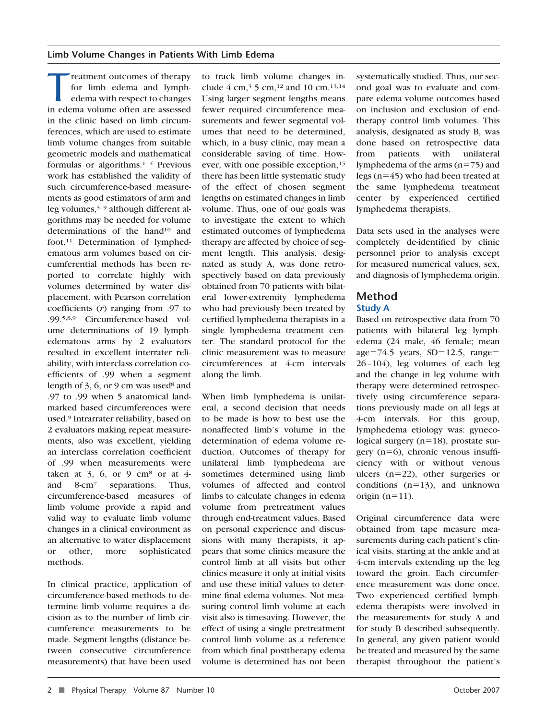Treatment outcomes of therapy<br>for limb edema and lymph-<br>edema with respect to changes<br>in edema volume often are assessed for limb edema and lymphedema with respect to changes in the clinic based on limb circumferences, which are used to estimate limb volume changes from suitable geometric models and mathematical formulas or algorithms.<sup>1-4</sup> Previous work has established the validity of such circumference-based measurements as good estimators of arm and leg volumes,5–9 although different algorithms may be needed for volume determinations of the hand<sup>10</sup> and foot.11 Determination of lymphedematous arm volumes based on circumferential methods has been reported to correlate highly with volumes determined by water displacement, with Pearson correlation coefficients (*r*) ranging from .97 to .99.5,8,9 Circumference-based volume determinations of 19 lymphedematous arms by 2 evaluators resulted in excellent interrater reliability, with interclass correlation coefficients of .99 when a segment length of  $3, 6$ , or 9 cm was used<sup>8</sup> and .97 to .99 when 5 anatomical landmarked based circumferences were used.9 Intrarrater reliability, based on 2 evaluators making repeat measurements, also was excellent, yielding an interclass correlation coefficient of .99 when measurements were taken at  $3, 6, or 9 cm<sup>8</sup> or at 4$ and 8-cm7 separations. Thus, circumference-based measures of limb volume provide a rapid and valid way to evaluate limb volume changes in a clinical environment as an alternative to water displacement or other, more sophisticated methods.

In clinical practice, application of circumference-based methods to determine limb volume requires a decision as to the number of limb circumference measurements to be made. Segment lengths (distance between consecutive circumference measurements) that have been used

to track limb volume changes include  $4 \text{ cm}, 3 \text{ 5 cm}, 12 \text{ and } 10 \text{ cm}, 13, 14$ Using larger segment lengths means fewer required circumference measurements and fewer segmental volumes that need to be determined, which, in a busy clinic, may mean a considerable saving of time. However, with one possible exception,15 there has been little systematic study of the effect of chosen segment lengths on estimated changes in limb volume. Thus, one of our goals was to investigate the extent to which estimated outcomes of lymphedema therapy are affected by choice of segment length. This analysis, designated as study A, was done retrospectively based on data previously obtained from 70 patients with bilateral lower-extremity lymphedema who had previously been treated by certified lymphedema therapists in a single lymphedema treatment center. The standard protocol for the clinic measurement was to measure circumferences at 4-cm intervals along the limb.

When limb lymphedema is unilateral, a second decision that needs to be made is how to best use the nonaffected limb's volume in the determination of edema volume reduction. Outcomes of therapy for unilateral limb lymphedema are sometimes determined using limb volumes of affected and control limbs to calculate changes in edema volume from pretreatment values through end-treatment values. Based on personal experience and discussions with many therapists, it appears that some clinics measure the control limb at all visits but other clinics measure it only at initial visits and use these initial values to determine final edema volumes. Not measuring control limb volume at each visit also is timesaving. However, the effect of using a single pretreatment control limb volume as a reference from which final posttherapy edema volume is determined has not been

systematically studied. Thus, our second goal was to evaluate and compare edema volume outcomes based on inclusion and exclusion of endtherapy control limb volumes. This analysis, designated as study B, was done based on retrospective data from patients with unilateral lymphedema of the arms  $(n=75)$  and legs ( $n=45$ ) who had been treated at the same lymphedema treatment center by experienced certified lymphedema therapists.

Data sets used in the analyses were completely de-identified by clinic personnel prior to analysis except for measured numerical values, sex, and diagnosis of lymphedema origin.

# **Method**

### **Study A**

Based on retrospective data from 70 patients with bilateral leg lymphedema (24 male, 46 female; mean  $age=74.5$  years, SD=12.5, range= 26 –104), leg volumes of each leg and the change in leg volume with therapy were determined retrospectively using circumference separations previously made on all legs at 4-cm intervals. For this group, lymphedema etiology was: gynecological surgery ( $n=18$ ), prostate surgery  $(n=6)$ , chronic venous insufficiency with or without venous ulcers  $(n=22)$ , other surgeries or conditions  $(n=13)$ , and unknown origin  $(n=11)$ .

Original circumference data were obtained from tape measure measurements during each patient's clinical visits, starting at the ankle and at 4-cm intervals extending up the leg toward the groin. Each circumference measurement was done once. Two experienced certified lymphedema therapists were involved in the measurements for study A and for study B described subsequently. In general, any given patient would be treated and measured by the same therapist throughout the patient's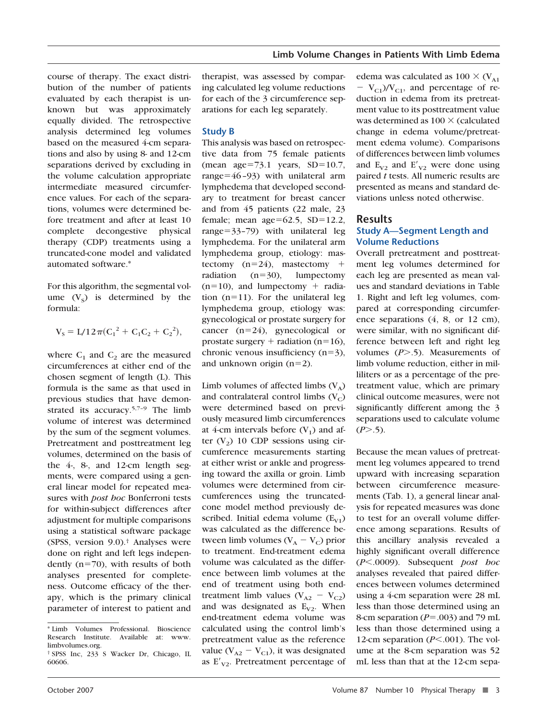course of therapy. The exact distribution of the number of patients evaluated by each therapist is unknown but was approximately equally divided. The retrospective analysis determined leg volumes based on the measured 4-cm separations and also by using 8- and 12-cm separations derived by excluding in the volume calculation appropriate intermediate measured circumference values. For each of the separations, volumes were determined before treatment and after at least 10 complete decongestive physical therapy (CDP) treatments using a truncated-cone model and validated automated software.\*

For this algorithm, the segmental volume  $(V_s)$  is determined by the formula:

$$
V_S = L/12\pi (C_1^2 + C_1C_2 + C_2^2),
$$

where  $C_1$  and  $C_2$  are the measured circumferences at either end of the chosen segment of length (L). This formula is the same as that used in previous studies that have demonstrated its accuracy.5,7–9 The limb volume of interest was determined by the sum of the segment volumes. Pretreatment and posttreatment leg volumes, determined on the basis of the 4-, 8-, and 12-cm length segments, were compared using a general linear model for repeated measures with *post hoc* Bonferroni tests for within-subject differences after adjustment for multiple comparisons using a statistical software package (SPSS, version 9.0).† Analyses were done on right and left legs independently  $(n=70)$ , with results of both analyses presented for completeness. Outcome efficacy of the therapy, which is the primary clinical parameter of interest to patient and

therapist, was assessed by comparing calculated leg volume reductions for each of the 3 circumference separations for each leg separately.

#### **Study B**

This analysis was based on retrospective data from 75 female patients (mean age=73.1 years,  $SD=10.7$ , range= $46 - 93$ ) with unilateral arm lymphedema that developed secondary to treatment for breast cancer and from 45 patients (22 male, 23 female; mean age= $62.5$ , SD= $12.2$ , range= $33-79$ ) with unilateral leg lymphedema. For the unilateral arm lymphedema group, etiology: mastectomy  $(n=24)$ , mastectomy + radiation  $(n=30)$ , lumpectomy  $(n=10)$ , and lumpectomy + radiation  $(n=11)$ . For the unilateral leg lymphedema group, etiology was: gynecological or prostate surgery for cancer  $(n=24)$ , gynecological or prostate surgery  $+$  radiation (n=16), chronic venous insufficiency  $(n=3)$ , and unknown origin  $(n=2)$ .

Limb volumes of affected limbs  $(V_A)$ and contralateral control limbs  $(V<sub>C</sub>)$ were determined based on previously measured limb circumferences at 4-cm intervals before  $(V_1)$  and after  $(V_2)$  10 CDP sessions using circumference measurements starting at either wrist or ankle and progressing toward the axilla or groin. Limb volumes were determined from circumferences using the truncatedcone model method previously described. Initial edema volume  $(E_{V1})$ was calculated as the difference between limb volumes  $(V_A - V_C)$  prior to treatment. End-treatment edema volume was calculated as the difference between limb volumes at the end of treatment using both endtreatment limb values  $(V_{A2} - V_{C2})$ and was designated as  $E_{V2}$ . When end-treatment edema volume was calculated using the control limb's pretreatment value as the reference value ( $V_{A2} - V_{C1}$ ), it was designated as  $E'_{V2}$ . Pretreatment percentage of

edema was calculated as  $100 \times (V_{A1})$  $-V_{C1}$ )/ $V_{C1}$ , and percentage of reduction in edema from its pretreatment value to its posttreatment value was determined as  $100 \times$  (calculated change in edema volume/pretreatment edema volume). Comparisons of differences between limb volumes and  $E_{V2}$  and  $E'_{V2}$  were done using paired *t* tests. All numeric results are presented as means and standard deviations unless noted otherwise.

#### **Results Study A—Segment Length and Volume Reductions**

Overall pretreatment and posttreatment leg volumes determined for each leg are presented as mean values and standard deviations in Table 1. Right and left leg volumes, compared at corresponding circumference separations (4, 8, or 12 cm), were similar, with no significant difference between left and right leg volumes (*P*>.5). Measurements of limb volume reduction, either in milliliters or as a percentage of the pretreatment value, which are primary clinical outcome measures, were not significantly different among the 3 separations used to calculate volume  $(P > .5)$ .

Because the mean values of pretreatment leg volumes appeared to trend upward with increasing separation between circumference measurements (Tab. 1), a general linear analysis for repeated measures was done to test for an overall volume difference among separations. Results of this ancillary analysis revealed a highly significant overall difference (*P* .0009). Subsequent *post hoc* analyses revealed that paired differences between volumes determined using a 4-cm separation were 28 mL less than those determined using an 8-cm separation  $(P = .003)$  and 79 mL less than those determined using a 12-cm separation  $(P < 0.001)$ . The volume at the 8-cm separation was 52 mL less than that at the 12-cm sepa-

<sup>\*</sup> Limb Volumes Professional. Bioscience Research Institute. Available at: www. limbvolumes.org.

<sup>†</sup> SPSS Inc, 233 S Wacker Dr, Chicago, IL 60606.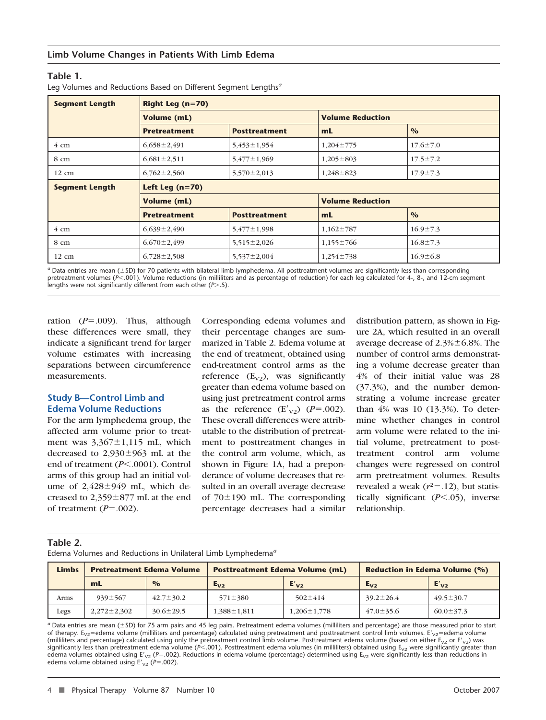#### **Limb Volume Changes in Patients With Limb Edema**

#### **Table 1.**

Leg Volumes and Reductions Based on Different Segment Lengths*<sup>a</sup>*

| <b>Segment Length</b>                      | Right Leg $(n=70)$  |                      |                         |                         |  |  |
|--------------------------------------------|---------------------|----------------------|-------------------------|-------------------------|--|--|
|                                            | <b>Volume (mL)</b>  |                      | <b>Volume Reduction</b> |                         |  |  |
|                                            | <b>Pretreatment</b> | <b>Posttreatment</b> | mL                      | $\mathbf{O}/\mathbf{O}$ |  |  |
| $4 \text{ cm}$                             | $6,658 \pm 2,491$   | $5,453 \pm 1,954$    | $1,204 \pm 775$         | $17.6 \pm 7.0$          |  |  |
| 8 cm                                       | $6,681 \pm 2,511$   | $5,477 \pm 1,969$    | $1,205 \pm 803$         | $17.5 \pm 7.2$          |  |  |
| $12 \text{ cm}$                            | $6,762 \pm 2,560$   | $5,570 \pm 2,013$    | $1,248 \pm 823$         | $17.9 \pm 7.3$          |  |  |
| <b>Segment Length</b><br>Left Leg $(n=70)$ |                     |                      |                         |                         |  |  |
|                                            | <b>Volume (mL)</b>  |                      | <b>Volume Reduction</b> |                         |  |  |
|                                            | <b>Pretreatment</b> | <b>Posttreatment</b> | mL                      | $\frac{6}{6}$           |  |  |
| $4 \text{ cm}$                             | $6,639 \pm 2,490$   | $5,477 \pm 1,998$    | $1,162 \pm 787$         | $16.9 \pm 7.3$          |  |  |
| 8 cm                                       | $6,670 \pm 2,499$   | $5,515 \pm 2,026$    | $1,155 \pm 766$         | $16.8 \pm 7.3$          |  |  |
| $12 \text{ cm}$                            | $6,728 \pm 2,508$   | $5,537 \pm 2,004$    | $1,254 \pm 738$         | $16.9 \pm 6.8$          |  |  |

a Data entries are mean (±SD) for 70 patients with bilateral limb lymphedema. All posttreatment volumes are significantly less than corresponding pretreatment volumes (P<.001). Volume reductions (in milliliters and as percentage of reduction) for each leg calculated for 4-, 8-, and 12-cm segment lengths were not significantly different from each other (*P*.5).

ration  $(P=.009)$ . Thus, although these differences were small, they indicate a significant trend for larger volume estimates with increasing separations between circumference measurements.

#### **Study B—Control Limb and Edema Volume Reductions**

For the arm lymphedema group, the affected arm volume prior to treatment was  $3,367 \pm 1,115$  mL, which decreased to  $2,930 \pm 963$  mL at the end of treatment ( $P$ <.0001). Control arms of this group had an initial volume of  $2,428 \pm 949$  mL, which decreased to 2,359 877 mL at the end of treatment  $(P=.002)$ .

Corresponding edema volumes and their percentage changes are summarized in Table 2. Edema volume at the end of treatment, obtained using end-treatment control arms as the reference  $(E_V)$ , was significantly greater than edema volume based on using just pretreatment control arms as the reference  $(E_{V2})$  ( $P=.002$ ). These overall differences were attributable to the distribution of pretreatment to posttreatment changes in the control arm volume, which, as shown in Figure 1A, had a preponderance of volume decreases that resulted in an overall average decrease of  $70\pm190$  mL. The corresponding percentage decreases had a similar

distribution pattern, as shown in Figure 2A, which resulted in an overall average decrease of 2.3% 6.8%. The number of control arms demonstrating a volume decrease greater than 4% of their initial value was 28 (37.3%), and the number demonstrating a volume increase greater than 4% was 10 (13.3%). To determine whether changes in control arm volume were related to the initial volume, pretreatment to posttreatment control arm volume changes were regressed on control arm pretreatment volumes. Results revealed a weak  $(r^2 = .12)$ , but statistically significant  $(P \le 0.05)$ , inverse relationship.

| u<br>۰,<br>× |  |
|--------------|--|
|--------------|--|

Edema Volumes and Reductions in Unilateral Limb Lymphedema*<sup>a</sup>*

| <b>Limbs</b> | <b>Pretreatment Edema Volume</b> |                 | <b>Posttreatment Edema Volume (mL)</b> |                   | <b>Reduction in Edema Volume (%)</b> |                 |
|--------------|----------------------------------|-----------------|----------------------------------------|-------------------|--------------------------------------|-----------------|
|              | m <sub>L</sub>                   | $\frac{1}{2}$   | $E_{V2}$                               | $E'_{V2}$         | $E_{V2}$                             | $E'_{V2}$       |
| Arms         | $939 \pm 567$                    | $42.7 \pm 30.2$ | $571 \pm 380$                          | $502 \pm 414$     | $39.2 \pm 26.4$                      | $49.5 \pm 30.7$ |
| Legs         | $2,272 \pm 2,302$                | $30.6 \pm 29.5$ | $1,388 \pm 1,811$                      | $1,206 \pm 1,778$ | $47.0 \pm 35.6$                      | $60.0 \pm 37.3$ |

*<sup>a</sup>* Data entries are mean ( SD) for 75 arm pairs and 45 leg pairs. Pretreatment edema volumes (milliliters and percentage) are those measured prior to start of therapy. E<sub>V2</sub>=edema volume (milliliters and percentage) calculated using pretreatment and posttreatment control limb volumes. E'<sub>V2</sub>=edema volume (milliliters and percentage) calculated using only the pretreatment control limb volume. Posttreatment edema volume (based on either  $E_{V2}$  or E'<sub>V2</sub>) was significantly less than pretreatment edema volume (P<.001). Posttreatment edema volumes (in milliliters) obtained using E<sub>V2</sub> were significantly greater than edema volumes obtained using E'<sub>V2</sub> (P=.002). Reductions in edema volume (percentage) determined using E<sub>V2</sub> were significantly less than reductions in edema volume obtained using  $E'_{V2}(\rho=.002)$ .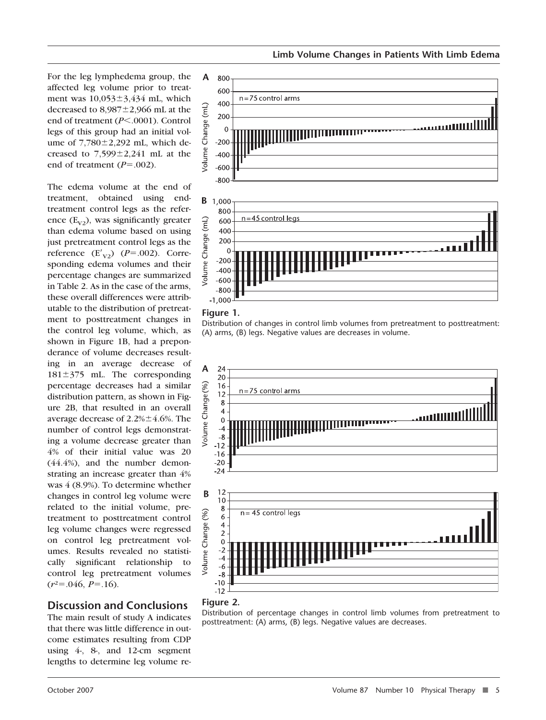For the leg lymphedema group, the affected leg volume prior to treatment was  $10,053 \pm 3,434$  mL, which decreased to 8,987 2,966 mL at the end of treatment (*P*<.0001). Control legs of this group had an initial volume of 7,780 2,292 mL, which decreased to  $7,599 \pm 2,241$  mL at the end of treatment  $(P=.002)$ .

The edema volume at the end of treatment, obtained using endtreatment control legs as the reference  $(E_{V2})$ , was significantly greater than edema volume based on using just pretreatment control legs as the reference  $(E'_{V2})$  ( $P=.002$ ). Corresponding edema volumes and their percentage changes are summarized in Table 2. As in the case of the arms, these overall differences were attributable to the distribution of pretreatment to posttreatment changes in the control leg volume, which, as shown in Figure 1B, had a preponderance of volume decreases resulting in an average decrease of 181 375 mL. The corresponding percentage decreases had a similar distribution pattern, as shown in Figure 2B, that resulted in an overall average decrease of 2.2% 4.6%. The number of control legs demonstrating a volume decrease greater than 4% of their initial value was 20 (44.4%), and the number demonstrating an increase greater than 4% was 4 (8.9%). To determine whether changes in control leg volume were related to the initial volume, pretreatment to posttreatment control leg volume changes were regressed on control leg pretreatment volumes. Results revealed no statistically significant relationship to control leg pretreatment volumes  $(r^2 = 0.046, P = 0.16)$ .

# **Discussion and Conclusions**

The main result of study A indicates that there was little difference in outcome estimates resulting from CDP using 4-, 8-, and 12-cm segment lengths to determine leg volume re-



#### **Figure 1.**

 $\mathsf{A}$ 800





#### **Figure 2.**

Distribution of percentage changes in control limb volumes from pretreatment to posttreatment: (A) arms, (B) legs. Negative values are decreases.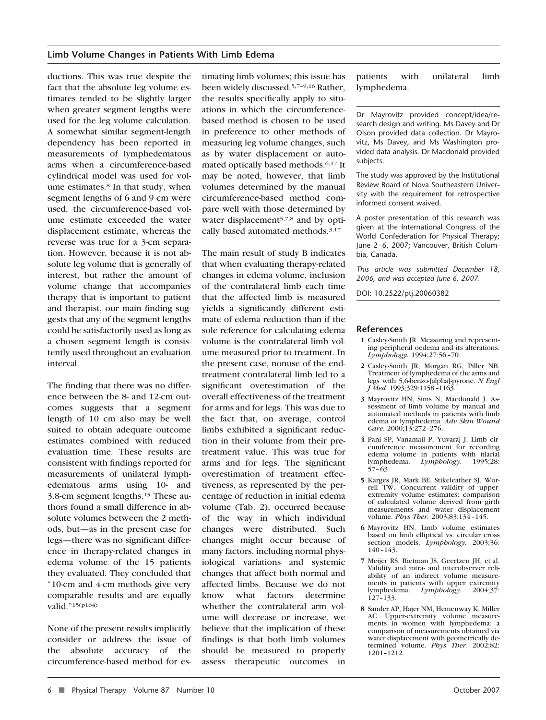#### **Limb Volume Changes in Patients With Limb Edema**

ductions. This was true despite the fact that the absolute leg volume estimates tended to be slightly larger when greater segment lengths were used for the leg volume calculation. A somewhat similar segment-length dependency has been reported in measurements of lymphedematous arms when a circumference-based cylindrical model was used for volume estimates.<sup>8</sup> In that study, when segment lengths of 6 and 9 cm were used, the circumference-based volume estimate exceeded the water displacement estimate, whereas the reverse was true for a 3-cm separation. However, because it is not absolute leg volume that is generally of interest, but rather the amount of volume change that accompanies therapy that is important to patient and therapist, our main finding suggests that any of the segment lengths could be satisfactorily used as long as a chosen segment length is consistently used throughout an evaluation interval.

The finding that there was no difference between the 8- and 12-cm outcomes suggests that a segment length of 10 cm also may be well suited to obtain adequate outcome estimates combined with reduced evaluation time. These results are consistent with findings reported for measurements of unilateral lymphedematous arms using 10- and 3.8-cm segment lengths.15 These authors found a small difference in absolute volumes between the 2 methods, but—as in the present case for legs—there was no significant difference in therapy-related changes in edema volume of the 15 patients they evaluated. They concluded that "10-cm and 4-cm methods give very comparable results and are equally valid."15(p164)

None of the present results implicitly consider or address the issue of the absolute accuracy of the circumference-based method for estimating limb volumes; this issue has been widely discussed.5,7–9,16 Rather, the results specifically apply to situations in which the circumferencebased method is chosen to be used in preference to other methods of measuring leg volume changes, such as by water displacement or automated optically based methods.6,17 It may be noted, however, that limb volumes determined by the manual circumference-based method compare well with those determined by water displacement<sup>5,7,8</sup> and by optically based automated methods.3,17

The main result of study B indicates that when evaluating therapy-related changes in edema volume, inclusion of the contralateral limb each time that the affected limb is measured yields a significantly different estimate of edema reduction than if the sole reference for calculating edema volume is the contralateral limb volume measured prior to treatment. In the present case, nonuse of the endtreatment contralateral limb led to a significant overestimation of the overall effectiveness of the treatment for arms and for legs. This was due to the fact that, on average, control limbs exhibited a significant reduction in their volume from their pretreatment value. This was true for arms and for legs. The significant overestimation of treatment effectiveness, as represented by the percentage of reduction in initial edema volume (Tab. 2), occurred because of the way in which individual changes were distributed. Such changes might occur because of many factors, including normal physiological variations and systemic changes that affect both normal and affected limbs. Because we do not know what factors determine whether the contralateral arm volume will decrease or increase, we believe that the implication of these findings is that both limb volumes should be measured to properly assess therapeutic outcomes in

patients with unilateral limb lymphedema.

Dr Mayrovitz provided concept/idea/research design and writing. Ms Davey and Dr Olson provided data collection. Dr Mayrovitz, Ms Davey, and Ms Washington provided data analysis. Dr Macdonald provided subjects.

The study was approved by the Institutional Review Board of Nova Southeastern University with the requirement for retrospective informed consent waived.

A poster presentation of this research was given at the International Congress of the World Confederation for Physical Therapy; June 2–6, 2007; Vancouver, British Columbia, Canada.

*This article was submitted December 18, 2006, and was accepted June 6, 2007.*

DOI: 10.2522/ptj.20060382

#### **References**

- **1** Casley-Smith JR. Measuring and representing peripheral oedema and its alterations. *Lymphology.* 1994;27:56 –70.
- **2** Casley-Smith JR, Morgan RG, Piller NB. Treatment of lymphedema of the arms and legs with 5,6-benzo-[alpha]-pyrone. *N Engl J Med.* 1993;329:1158 –1163.
- **3** Mayrovitz HN, Sims N, Macdonald J. Assessment of limb volume by manual and automated methods in patients with limb edema or lymphedema. *Adv Skin Wound Care.* 2000;13:272–276.
- **4** Pani SP, Vanamail P, Yuvaraj J. Limb circumference measurement for recording edema volume in patients with filarial lymphedema. *Lymphology.* 1995;28:  $57 - 63.$
- **5** Karges JR, Mark BE, Stikeleather SJ, Worrell TW. Concurrent validity of upperextremity volume estimates: comparison of calculated volume derived from girth measurements and water displacement volume. *Phys Ther.* 2003;83:134 –145.
- **6** Mayrovitz HN. Limb volume estimates based on limb elliptical vs. circular cross section models. *Lymphology.* 2003;36: 140 –143.
- **7** Meijer RS, Rietman JS, Geertzen JH, et al. Validity and intra- and interobserver reliability of an indirect volume measurements in patients with upper extremity<br>lymphedema. Lymphology. 2004;37: Lymphology. 127–133.
- **8** Sander AP, Hajer NM, Hemenway K, Miller AC. Upper-extremity volume measurements in women with lymphedema: a comparison of measurements obtained via water displacement with geometrically determined volume. *Phys Ther.* 2002;82: 1201–1212.